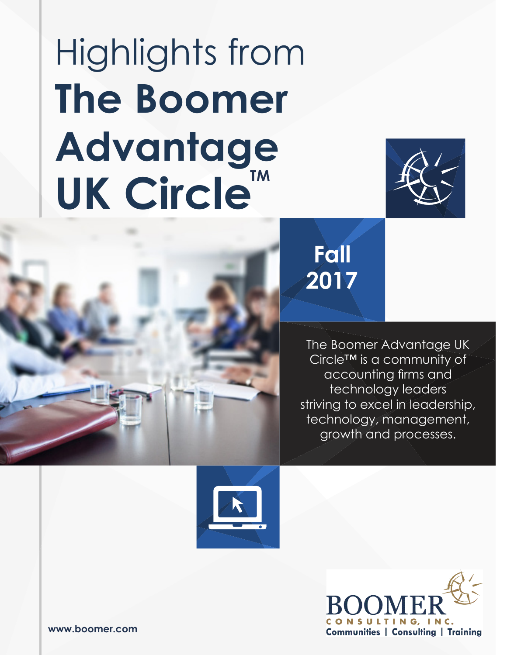# Highlights from **The Boomer Advantage** UK Circle<sup>™</sup>





## **2017 Fall**

The Boomer Advantage UK Circle™ is a community of accounting firms and technology leaders striving to excel in leadership, technology, management, growth and processes.



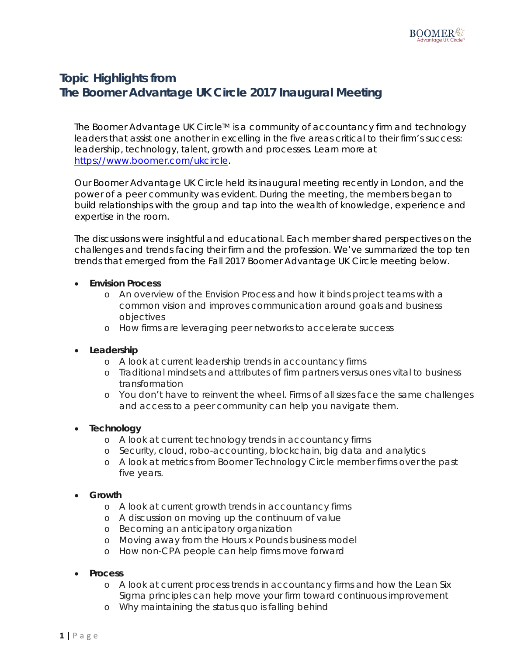### **Topic Highlights from The Boomer Advantage UK Circle 2017 Inaugural Meeting**

The Boomer Advantage UK Circle™ is a community of accountancy firm and technology leaders that assist one another in excelling in the five areas critical to their firm's success: leadership, technology, talent, growth and processes. Learn more at [https://www.boomer.com/ukcircle.](https://www.boomer.com/ukcircle)

Our Boomer Advantage UK Circle held its inaugural meeting recently in London, and the power of a peer community was evident. During the meeting, the members began to build relationships with the group and tap into the wealth of knowledge, experience and expertise in the room.

The discussions were insightful and educational. Each member shared perspectives on the challenges and trends facing their firm and the profession. We've summarized the top ten trends that emerged from the Fall 2017 Boomer Advantage UK Circle meeting below.

- **Envision Process**
	- o An overview of the Envision Process and how it binds project teams with a common vision and improves communication around goals and business objectives
	- o How firms are leveraging peer networks to accelerate success
- **Leadership** 
	- o A look at current leadership trends in accountancy firms
	- o Traditional mindsets and attributes of firm partners versus ones vital to business transformation
	- o You don't have to reinvent the wheel. Firms of all sizes face the same challenges and access to a peer community can help you navigate them.
- **Technology**
	- o A look at current technology trends in accountancy firms
	- o Security, cloud, robo-accounting, blockchain, big data and analytics
	- o A look at metrics from Boomer Technology Circle member firms over the past five years.
- **Growth**
	- o A look at current growth trends in accountancy firms
	- o A discussion on moving up the continuum of value
	- o Becoming an anticipatory organization
	- o Moving away from the Hours x Pounds business model
	- o How non-CPA people can help firms move forward
- **Process**
	- o A look at current process trends in accountancy firms and how the Lean Six Sigma principles can help move your firm toward continuous improvement
	- o Why maintaining the status quo is falling behind